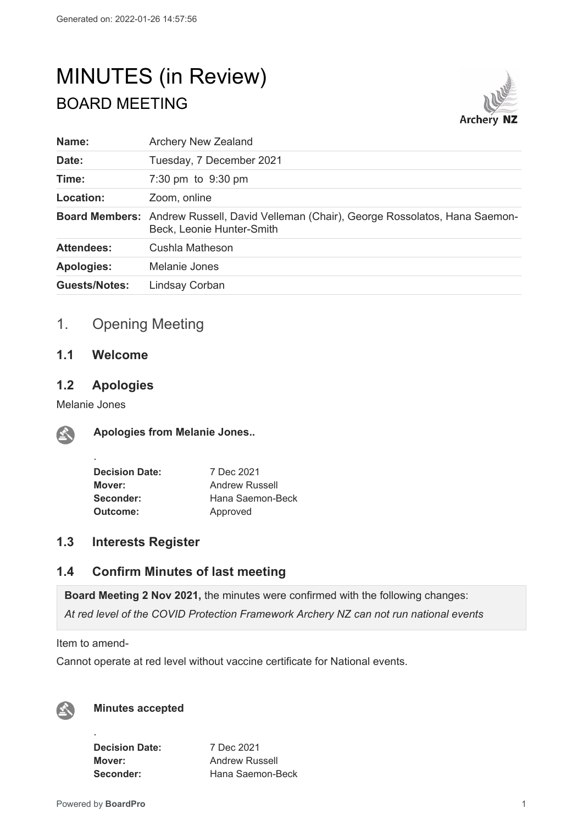# MINUTES (in Review) BOARD MEETING



| Name:                | <b>Archery New Zealand</b>                                                                                          |
|----------------------|---------------------------------------------------------------------------------------------------------------------|
| Date:                | Tuesday, 7 December 2021                                                                                            |
| Time:                | 7:30 pm to 9:30 pm                                                                                                  |
| Location:            | Zoom, online                                                                                                        |
|                      | Board Members: Andrew Russell, David Velleman (Chair), George Rossolatos, Hana Saemon-<br>Beck, Leonie Hunter-Smith |
| <b>Attendees:</b>    | Cushla Matheson                                                                                                     |
| <b>Apologies:</b>    | Melanie Jones                                                                                                       |
| <b>Guests/Notes:</b> | Lindsay Corban                                                                                                      |
|                      |                                                                                                                     |

# 1. Opening Meeting

# **1.1 Welcome**

## **1.2 Apologies**

Melanie Jones

.



**Apologies from Melanie Jones..**

| <b>Decision Date:</b> | 7 Dec 2021       |
|-----------------------|------------------|
| Mover:                | Andrew Russell   |
| Seconder:             | Hana Saemon-Beck |
| Outcome:              | Approved         |

## **1.3 Interests Register**

## **1.4 Confirm Minutes of last meeting**

**Board Meeting 2 Nov 2021,** the minutes were confirmed with the following changes: *At red level of the COVID Protection Framework Archery NZ can not run national events*

Item to amend-

Cannot operate at red level without vaccine certificate for National events.



### **Minutes accepted**

**Decision Date:** 7 Dec 2021 **Mover:** Andrew Russell

**Seconder:** Hana Saemon-Beck

.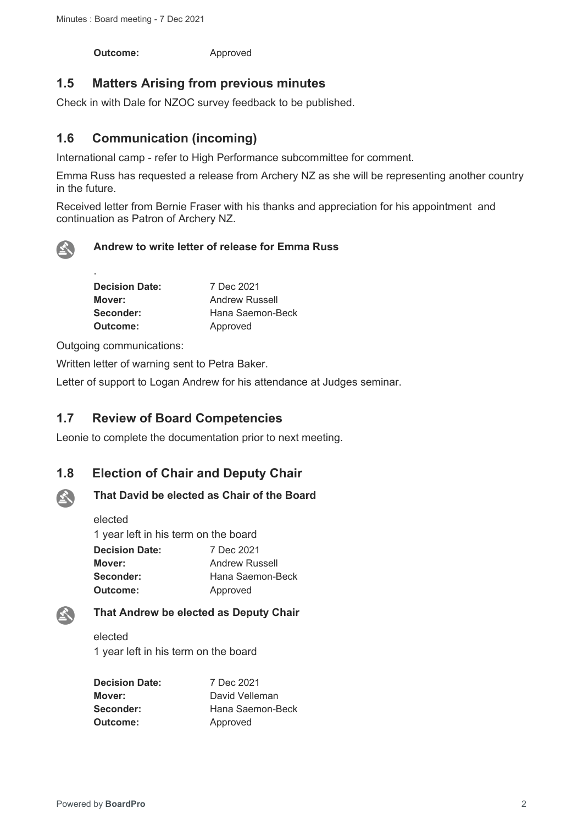**Outcome:** Approved

## **1.5 Matters Arising from previous minutes**

Check in with Dale for NZOC survey feedback to be published.

# **1.6 Communication (incoming)**

International camp - refer to High Performance subcommittee for comment.

Emma Russ has requested a release from Archery NZ as she will be representing another country in the future.

Received letter from Bernie Fraser with his thanks and appreciation for his appointment and continuation as Patron of Archery NZ.



.

#### **Andrew to write letter of release for Emma Russ**

| <b>Decision Date:</b> | 7 Dec 2021            |
|-----------------------|-----------------------|
| Mover:                | <b>Andrew Russell</b> |
| Seconder:             | Hana Saemon-Beck      |
| Outcome:              | Approved              |

Outgoing communications:

Written letter of warning sent to Petra Baker.

Letter of support to Logan Andrew for his attendance at Judges seminar.

## **1.7 Review of Board Competencies**

Leonie to complete the documentation prior to next meeting.

## **1.8 Election of Chair and Deputy Chair**



### **That David be elected as Chair of the Board**

elected 1 year left in his term on the board **Decision Date:** 7 Dec 2021 **Mover:** Andrew Russell **Seconder:** Hana Saemon-Beck **Outcome:** Approved

### **That Andrew be elected as Deputy Chair**

elected 1 year left in his term on the board

| <b>Decision Date:</b> | 7 Dec 2021       |
|-----------------------|------------------|
| Mover:                | David Velleman   |
| Seconder:             | Hana Saemon-Beck |
| Outcome:              | Approved         |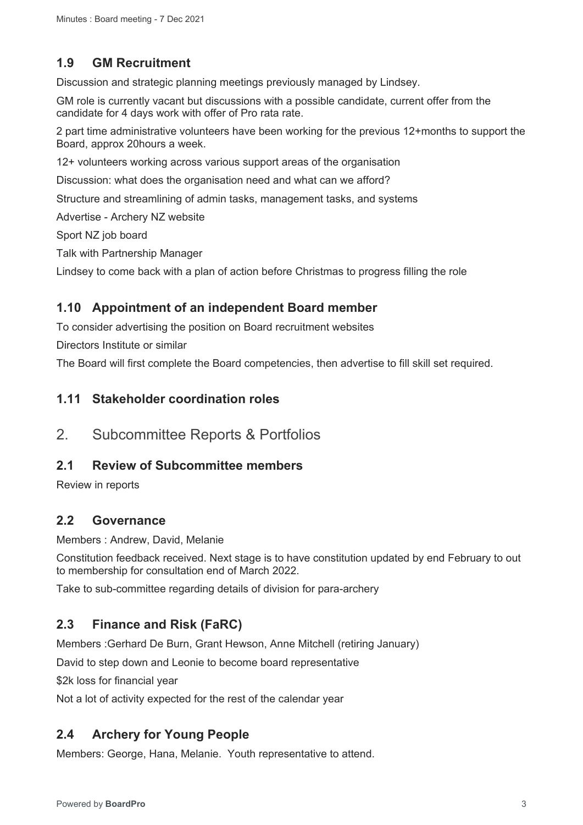# **1.9 GM Recruitment**

Discussion and strategic planning meetings previously managed by Lindsey.

GM role is currently vacant but discussions with a possible candidate, current offer from the candidate for 4 days work with offer of Pro rata rate.

2 part time administrative volunteers have been working for the previous 12+months to support the Board, approx 20hours a week.

12+ volunteers working across various support areas of the organisation

Discussion: what does the organisation need and what can we afford?

Structure and streamlining of admin tasks, management tasks, and systems

Advertise - Archery NZ website

Sport NZ job board

Talk with Partnership Manager

Lindsey to come back with a plan of action before Christmas to progress filling the role

#### **1.10 Appointment of an independent Board member**

To consider advertising the position on Board recruitment websites

Directors Institute or similar

The Board will first complete the Board competencies, then advertise to fill skill set required.

#### **1.11 Stakeholder coordination roles**

2. Subcommittee Reports & Portfolios

### **2.1 Review of Subcommittee members**

Review in reports

## **2.2 Governance**

Members : Andrew, David, Melanie

Constitution feedback received. Next stage is to have constitution updated by end February to out to membership for consultation end of March 2022.

Take to sub-committee regarding details of division for para-archery

## **2.3 Finance and Risk (FaRC)**

Members :Gerhard De Burn, Grant Hewson, Anne Mitchell (retiring January)

David to step down and Leonie to become board representative

\$2k loss for financial year

Not a lot of activity expected for the rest of the calendar year

## **2.4 Archery for Young People**

Members: George, Hana, Melanie. Youth representative to attend.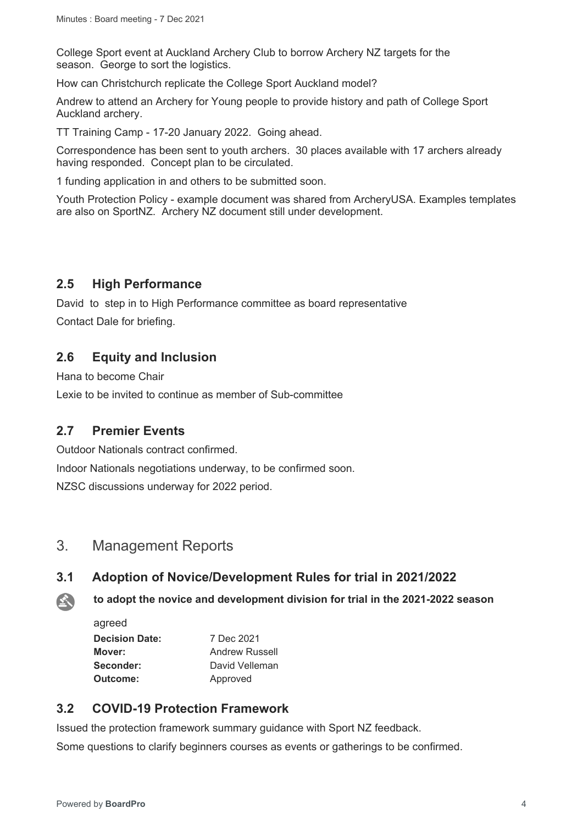College Sport event at Auckland Archery Club to borrow Archery NZ targets for the season. George to sort the logistics.

How can Christchurch replicate the College Sport Auckland model?

Andrew to attend an Archery for Young people to provide history and path of College Sport Auckland archery.

TT Training Camp - 17-20 January 2022. Going ahead.

Correspondence has been sent to youth archers. 30 places available with 17 archers already having responded. Concept plan to be circulated.

1 funding application in and others to be submitted soon.

Youth Protection Policy - example document was shared from ArcheryUSA. Examples templates are also on SportNZ. Archery NZ document still under development.

## **2.5 High Performance**

David to step in to High Performance committee as board representative Contact Dale for briefing.

## **2.6 Equity and Inclusion**

Hana to become Chair

Lexie to be invited to continue as member of Sub-committee

### **2.7 Premier Events**

Outdoor Nationals contract confirmed. Indoor Nationals negotiations underway, to be confirmed soon. NZSC discussions underway for 2022 period.

## 3. Management Reports

### **3.1 Adoption of Novice/Development Rules for trial in 2021/2022**

**to adopt the novice and development division for trial in the 2021-2022 season**  公

agreed

| <b>Decision Date:</b> | 7 Dec 2021            |
|-----------------------|-----------------------|
| Mover:                | <b>Andrew Russell</b> |
| Seconder:             | David Velleman        |
| Outcome:              | Approved              |

## **3.2 COVID-19 Protection Framework**

Issued the protection framework summary guidance with Sport NZ feedback.

Some questions to clarify beginners courses as events or gatherings to be confirmed.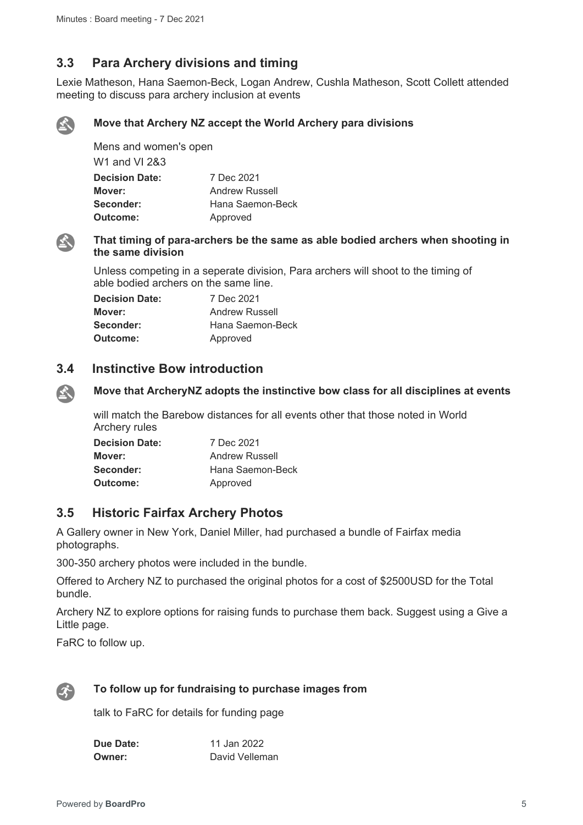## **3.3 Para Archery divisions and timing**

Lexie Matheson, Hana Saemon-Beck, Logan Andrew, Cushla Matheson, Scott Collett attended meeting to discuss para archery inclusion at events



#### **Move that Archery NZ accept the World Archery para divisions**

Mens and women's open W1 and VI 2&3 **Decision Date:** 7 Dec 2021 **Mover:** Andrew Russell **Seconder:** Hana Saemon-Beck **Outcome:** Approved



 $\mathbf{A}$ 

#### **That timing of para-archers be the same as able bodied archers when shooting in the same division**

Unless competing in a seperate division, Para archers will shoot to the timing of able bodied archers on the same line.

| <b>Decision Date:</b> | 7 Dec 2021            |
|-----------------------|-----------------------|
| Mover:                | <b>Andrew Russell</b> |
| Seconder:             | Hana Saemon-Beck      |
| Outcome:              | Approved              |

### **3.4 Instinctive Bow introduction**

#### **Move that ArcheryNZ adopts the instinctive bow class for all disciplines at events**

will match the Barebow distances for all events other that those noted in World Archery rules

| <b>Decision Date:</b> | 7 Dec 2021            |
|-----------------------|-----------------------|
| Mover:                | <b>Andrew Russell</b> |
| Seconder:             | Hana Saemon-Beck      |
| Outcome:              | Approved              |

### **3.5 Historic Fairfax Archery Photos**

A Gallery owner in New York, Daniel Miller, had purchased a bundle of Fairfax media photographs.

300-350 archery photos were included in the bundle.

Offered to Archery NZ to purchased the original photos for a cost of \$2500USD for the Total bundle.

Archery NZ to explore options for raising funds to purchase them back. Suggest using a Give a Little page.

FaRC to follow up.



#### **To follow up for fundraising to purchase images from**

talk to FaRC for details for funding page

| Due Date:     | 11 Jan 2022    |
|---------------|----------------|
| <b>Owner:</b> | David Velleman |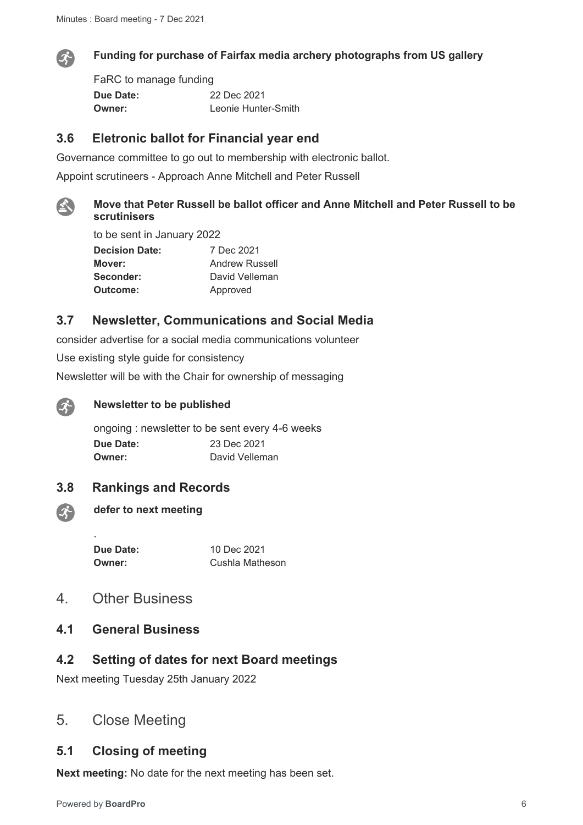

#### **Funding for purchase of Fairfax media archery photographs from US gallery**

FaRC to manage funding **Due Date:** 22 Dec 2021 **Owner:** Leonie Hunter-Smith

### **3.6 Eletronic ballot for Financial year end**

Governance committee to go out to membership with electronic ballot.

Appoint scrutineers - Approach Anne Mitchell and Peter Russell



## **Move that Peter Russell be ballot officer and Anne Mitchell and Peter Russell to be scrutinisers**

to be sent in January 2022 **Decision Date:** 7 Dec 2021

**Mover:** Andrew Russell Seconder: David Velleman **Outcome:** Approved

## **3.7 Newsletter, Communications and Social Media**

consider advertise for a social media communications volunteer

Use existing style guide for consistency

Newsletter will be with the Chair for ownership of messaging



 $\mathcal{L}$ 

#### **Newsletter to be published**

ongoing : newsletter to be sent every 4-6 weeks **Due Date:** 23 Dec 2021 **Owner:** David Velleman

#### **3.8 Rankings and Records**

**defer to next meeting**

.

**Due Date:** 10 Dec 2021

**Owner:** Cushla Matheson

- 4. Other Business
- **4.1 General Business**

# **4.2 Setting of dates for next Board meetings**

Next meeting Tuesday 25th January 2022

# 5. Close Meeting

#### **5.1 Closing of meeting**

**Next meeting:** No date for the next meeting has been set.